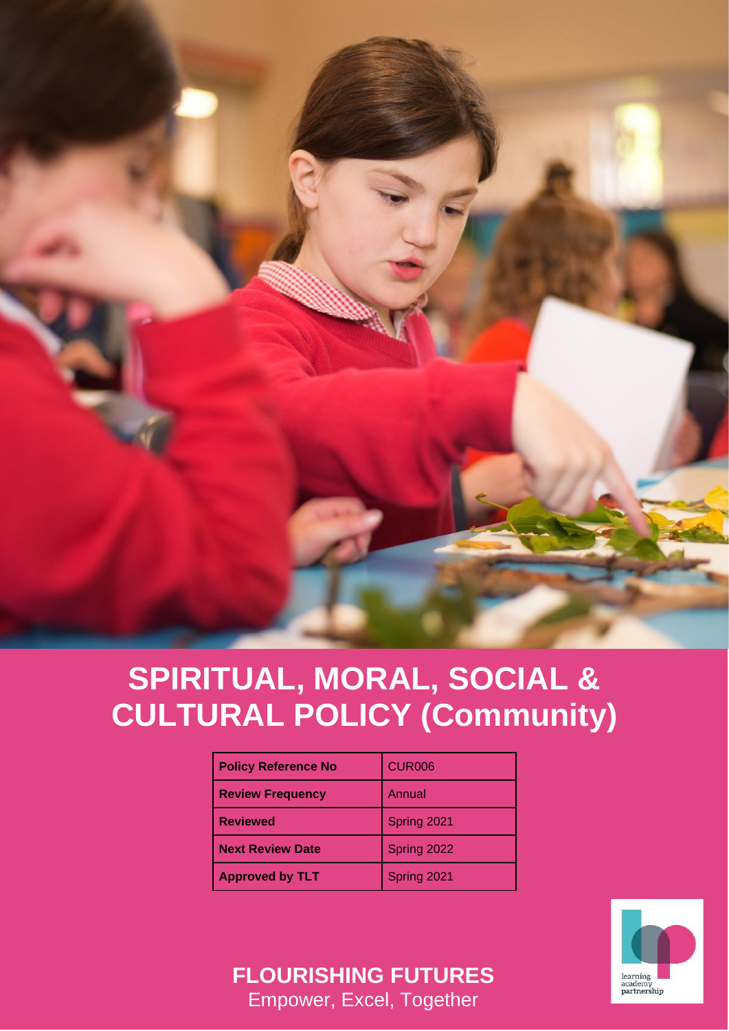

# **SPIRITUAL, MORAL, SOCIAL & CULTURAL POLICY (Community)**

| <b>Policy Reference No</b> | <b>CUR006</b> |
|----------------------------|---------------|
| <b>Review Frequency</b>    | Annual        |
| <b>Reviewed</b>            | Spring 2021   |
| <b>Next Review Date</b>    | Spring 2022   |
| <b>Approved by TLT</b>     | Spring 2021   |



**FLOURISHING FUTURES** Empower, Excel, Together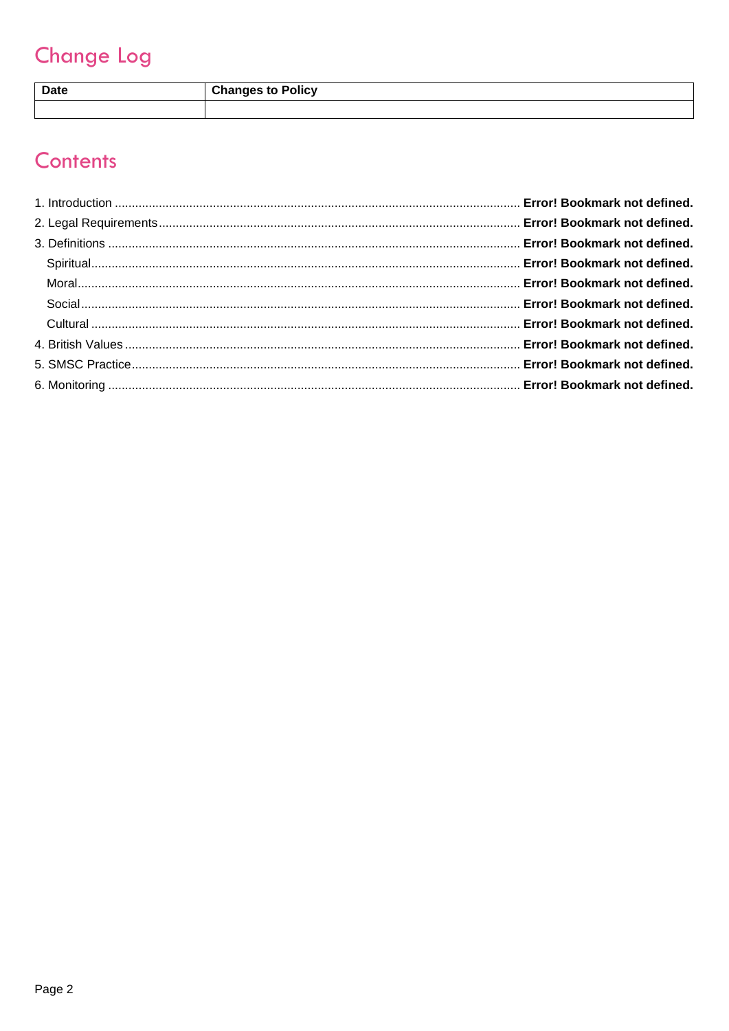# **Change Log**

| <b>Date</b> | <b>Changes to Policy</b> |
|-------------|--------------------------|
|             |                          |

# Contents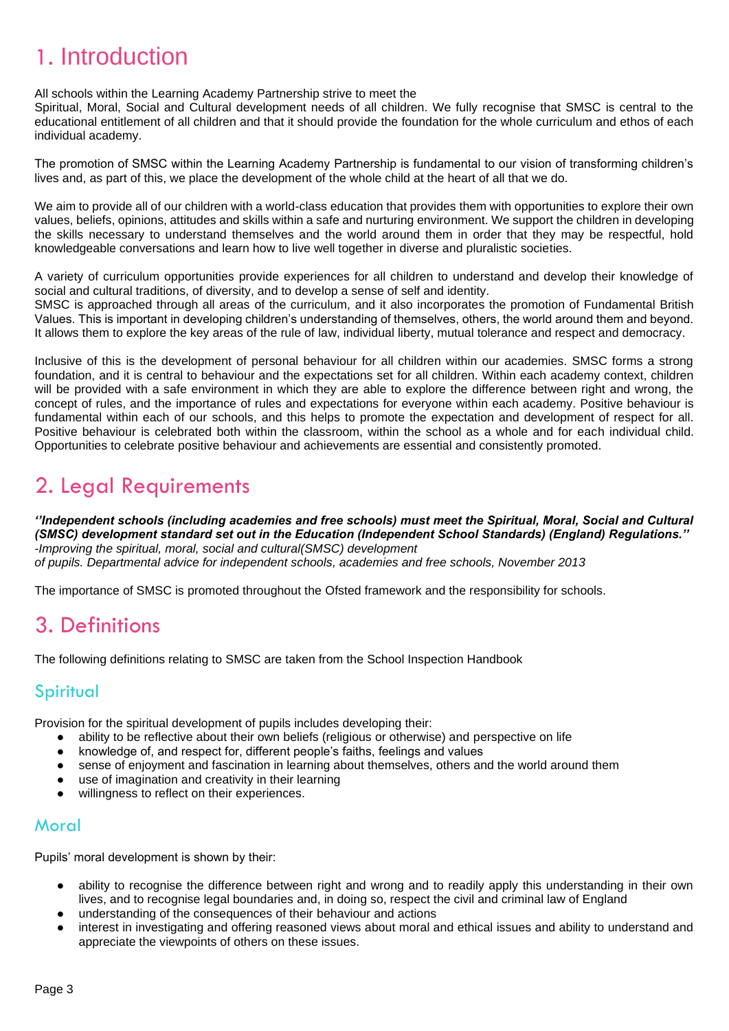# 1. Introduction

All schools within the Learning Academy Partnership strive to meet the

Spiritual, Moral, Social and Cultural development needs of all children. We fully recognise that SMSC is central to the educational entitlement of all children and that it should provide the foundation for the whole curriculum and ethos of each individual academy.

The promotion of SMSC within the Learning Academy Partnership is fundamental to our vision of transforming children's lives and, as part of this, we place the development of the whole child at the heart of all that we do.

We aim to provide all of our children with a world-class education that provides them with opportunities to explore their own values, beliefs, opinions, attitudes and skills within a safe and nurturing environment. We support the children in developing the skills necessary to understand themselves and the world around them in order that they may be respectful, hold knowledgeable conversations and learn how to live well together in diverse and pluralistic societies.

A variety of curriculum opportunities provide experiences for all children to understand and develop their knowledge of social and cultural traditions, of diversity, and to develop a sense of self and identity.

SMSC is approached through all areas of the curriculum, and it also incorporates the promotion of Fundamental British Values. This is important in developing children's understanding of themselves, others, the world around them and beyond. It allows them to explore the key areas of the rule of law, individual liberty, mutual tolerance and respect and democracy.

Inclusive of this is the development of personal behaviour for all children within our academies. SMSC forms a strong foundation, and it is central to behaviour and the expectations set for all children. Within each academy context, children will be provided with a safe environment in which they are able to explore the difference between right and wrong, the concept of rules, and the importance of rules and expectations for everyone within each academy. Positive behaviour is fundamental within each of our schools, and this helps to promote the expectation and development of respect for all. Positive behaviour is celebrated both within the classroom, within the school as a whole and for each individual child. Opportunities to celebrate positive behaviour and achievements are essential and consistently promoted.

## 2. Legal Requirements

*''Independent schools (including academies and free schools) must meet the Spiritual, Moral, Social and Cultural (SMSC) development standard set out in the Education (Independent School Standards) (England) Regulations.'' -Improving the spiritual, moral, social and cultural(SMSC) development of pupils. Departmental advice for independent schools, academies and free schools, November 2013* 

The importance of SMSC is promoted throughout the Ofsted framework and the responsibility for schools.

### 3. Definitions

The following definitions relating to SMSC are taken from the School Inspection Handbook

#### **Spiritual**

Provision for the spiritual development of pupils includes developing their:

- ability to be reflective about their own beliefs (religious or otherwise) and perspective on life
- knowledge of, and respect for, different people's faiths, feelings and values
- sense of enjoyment and fascination in learning about themselves, others and the world around them
- use of imagination and creativity in their learning
- willingness to reflect on their experiences.

#### **Moral**

Pupils' moral development is shown by their:

- ability to recognise the difference between right and wrong and to readily apply this understanding in their own lives, and to recognise legal boundaries and, in doing so, respect the civil and criminal law of England
- understanding of the consequences of their behaviour and actions
- interest in investigating and offering reasoned views about moral and ethical issues and ability to understand and appreciate the viewpoints of others on these issues.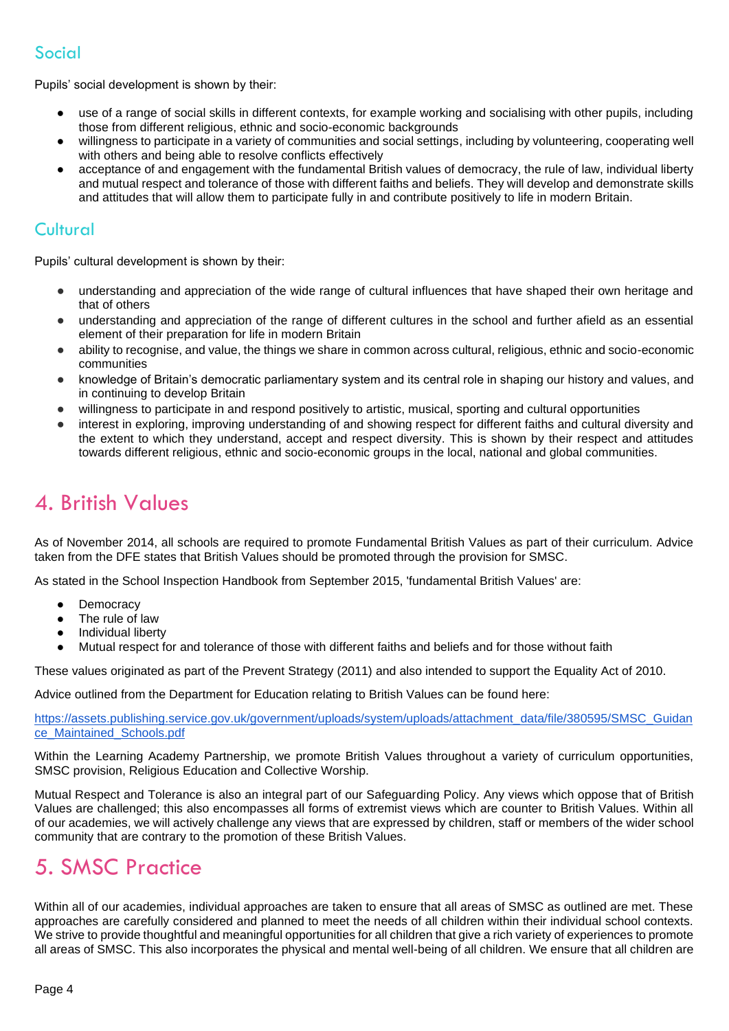#### Social

Pupils' social development is shown by their:

- use of a range of social skills in different contexts, for example working and socialising with other pupils, including those from different religious, ethnic and socio-economic backgrounds
- willingness to participate in a variety of communities and social settings, including by volunteering, cooperating well with others and being able to resolve conflicts effectively
- acceptance of and engagement with the fundamental British values of democracy, the rule of law, individual liberty and mutual respect and tolerance of those with different faiths and beliefs. They will develop and demonstrate skills and attitudes that will allow them to participate fully in and contribute positively to life in modern Britain.

#### Cultural

Pupils' cultural development is shown by their:

- understanding and appreciation of the wide range of cultural influences that have shaped their own heritage and that of others
- understanding and appreciation of the range of different cultures in the school and further afield as an essential element of their preparation for life in modern Britain
- ability to recognise, and value, the things we share in common across cultural, religious, ethnic and socio-economic communities
- knowledge of Britain's democratic parliamentary system and its central role in shaping our history and values, and in continuing to develop Britain
- willingness to participate in and respond positively to artistic, musical, sporting and cultural opportunities
- interest in exploring, improving understanding of and showing respect for different faiths and cultural diversity and the extent to which they understand, accept and respect diversity. This is shown by their respect and attitudes towards different religious, ethnic and socio-economic groups in the local, national and global communities.

### 4. British Values

As of November 2014, all schools are required to promote Fundamental British Values as part of their curriculum. Advice taken from the DFE states that British Values should be promoted through the provision for SMSC.

As stated in the School Inspection Handbook from September 2015, 'fundamental British Values' are:

- Democracy
- The rule of law
- Individual liberty
- Mutual respect for and tolerance of those with different faiths and beliefs and for those without faith

These values originated as part of the Prevent Strategy (2011) and also intended to support the Equality Act of 2010.

Advice outlined from the Department for Education relating to British Values can be found here:

[https://assets.publishing.service.gov.uk/government/uploads/system/uploads/attachment\\_data/file/380595/SMSC\\_Guidan](https://assets.publishing.service.gov.uk/government/uploads/system/uploads/attachment_data/file/380595/SMSC_Guidance_Maintained_Schools.pdf) [ce\\_Maintained\\_Schools.pdf](https://assets.publishing.service.gov.uk/government/uploads/system/uploads/attachment_data/file/380595/SMSC_Guidance_Maintained_Schools.pdf)

Within the Learning Academy Partnership, we promote British Values throughout a variety of curriculum opportunities, SMSC provision, Religious Education and Collective Worship.

Mutual Respect and Tolerance is also an integral part of our Safeguarding Policy. Any views which oppose that of British Values are challenged; this also encompasses all forms of extremist views which are counter to British Values. Within all of our academies, we will actively challenge any views that are expressed by children, staff or members of the wider school community that are contrary to the promotion of these British Values.

### 5. SMSC Practice

Within all of our academies, individual approaches are taken to ensure that all areas of SMSC as outlined are met. These approaches are carefully considered and planned to meet the needs of all children within their individual school contexts. We strive to provide thoughtful and meaningful opportunities for all children that give a rich variety of experiences to promote all areas of SMSC. This also incorporates the physical and mental well-being of all children. We ensure that all children are